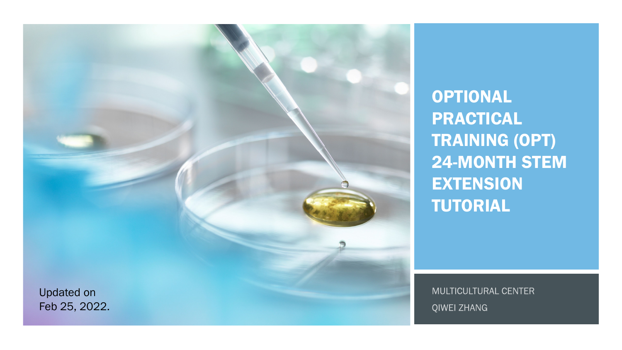

OPTIONAL PRACTICAL TRAINING (OPT) 24 -MONTH STEM EXTENSION TUTORIAL

MULTICULTURAL CENTER QIWEI ZHANG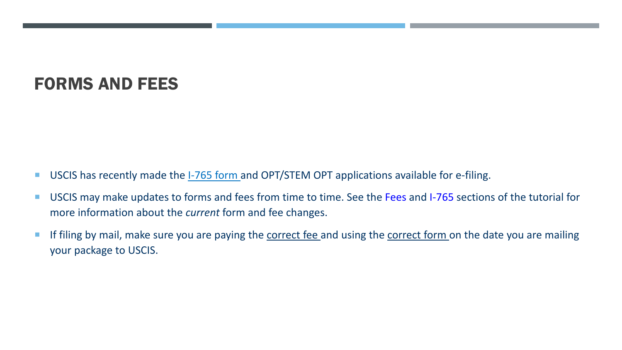#### FORMS AND FEES

- **USCIS has recently made the 1-765 form and OPT/STEM OPT applications available for e-filing.**
- USCIS may make updates to forms and fees from time to time. See the Fees and I-765 sections of the tutorial for more information about the *current* form and fee changes.
- If filing by mail, make sure you are paying the correct fee and using the correct form on the date you are mailing your package to USCIS.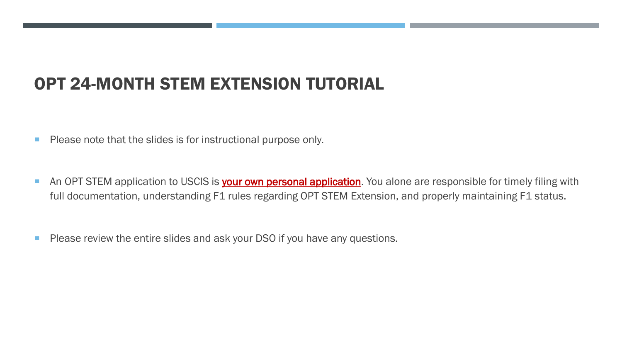#### OPT 24-MONTH STEM EXTENSION TUTORIAL

- **Please note that the slides is for instructional purpose only.**
- An OPT STEM application to USCIS is **your own personal application**. You alone are responsible for timely filing with full documentation, understanding F1 rules regarding OPT STEM Extension, and properly maintaining F1 status.
- **Please review the entire slides and ask your DSO if you have any questions.**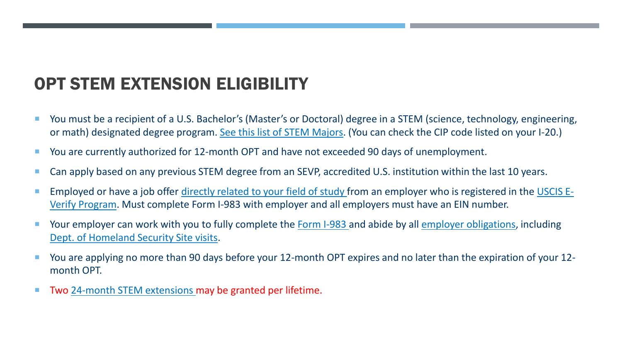# OPT STEM EXTENSION ELIGIBILITY

- You must be a recipient of a U.S. Bachelor's (Master's or Doctoral) degree in a STEM (science, technology, engineering, or math) designated degree program. [See this list of STEM Majors.](https://www.ice.gov/doclib/sevis/pdf/stemList2022.pdf) (You can check the CIP code listed on your I-20.)
- You are currently authorized for 12-month OPT and have not exceeded 90 days of unemployment.
- Can apply based on any previous STEM degree from an SEVP, accredited U.S. institution within the last 10 years.
- **[Employed or have a job offer d](https://www.e-verify.gov/)[irectly related to your field of study](https://www.ice.gov/doclib/sevis/pdf/optDirectlyRelatedGuidance.pdf) [from an employer who is registered in the USCIS E-](https://www.e-verify.gov/)**Verify Program. Must complete Form I-983 with employer and all employers must have an EIN number.
- Your employer can work with you to fully complete the [Form I-983 a](https://studyinthestates.dhs.gov/stem-opt-hub/additional-resources/form-i-983-overview)nd abide by all [employer obligations,](https://studyinthestates.dhs.gov/stem-opt-hub/employers-stem-opt-reporting-requirements) including [Dept. of Homeland Security Site visits](https://studyinthestates.dhs.gov/stem-opt-hub/for-employers/employer-site-visits).
- You are applying no more than 90 days before your 12-month OPT expires and no later than the expiration of your 12 month OPT.
- Two [24-month STEM extensions](https://studyinthestates.dhs.gov/stem-opt-hub/for-students/students-determining-stem-opt-extension-eligibility) may be granted per lifetime.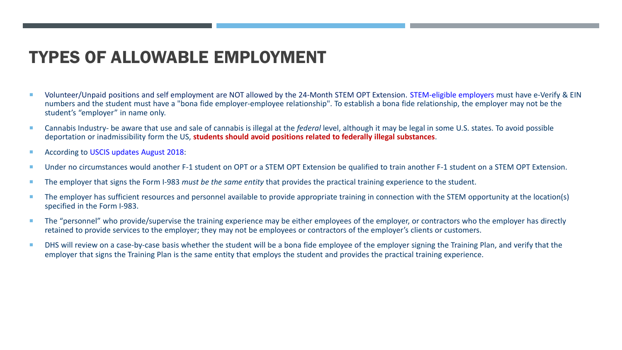#### TYPES OF ALLOWABLE EMPLOYMENT

- Volunteer/Unpaid positions and self employment are NOT allowed by the 24-Month STEM OPT Extension. STEM-eligible employers must have e-Verify & EIN numbers and the student must have a "bona fide employer-employee relationship". To establish a bona fide relationship, the employer may not be the student's "employer" in name only.
- Cannabis Industry- be aware that use and sale of cannabis is illegal at the *federal* level, although it may be legal in some U.S. states. To avoid possible deportation or inadmissibility form the US, **students should avoid positions related to federally illegal substances**.
- According to USCIS updates August 2018:
- Under no circumstances would another F-1 student on OPT or a STEM OPT Extension be qualified to train another F-1 student on a STEM OPT Extension.
- The employer that signs the Form I-983 *must be the same entity* that provides the practical training experience to the student.
- The emplover has sufficient resources and personnel available to provide appropriate training in connection with the STEM opportunity at the location(s) specified in the Form I-983.
- The "personnel" who provide/supervise the training experience may be either employees of the employer, or contractors who the employer has directly retained to provide services to the employer; they may not be employees or contractors of the employer's clients or customers.
- DHS will review on a case-by-case basis whether the student will be a bona fide employee of the employer signing the Training Plan, and verify that the employer that signs the Training Plan is the same entity that employs the student and provides the practical training experience.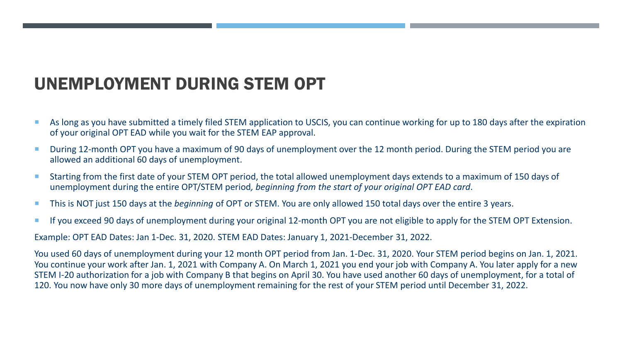# UNEMPLOYMENT DURING STEM OPT

- As long as you have submitted a timely filed STEM application to USCIS, you can continue working for up to 180 days after the expiration of your original OPT EAD while you wait for the STEM EAP approval.
- During 12-month OPT you have a maximum of 90 days of unemployment over the 12 month period. During the STEM period you are allowed an additional 60 days of unemployment.
- Starting from the first date of your STEM OPT period, the total allowed unemployment days extends to a maximum of 150 days of unemployment during the entire OPT/STEM period*, beginning from the start of your original OPT EAD card*.
- This is NOT just 150 days at the *beginning* of OPT or STEM. You are only allowed 150 total days over the entire 3 years.
- **If you exceed 90 days of unemployment during your original 12-month OPT you are not eligible to apply for the STEM OPT Extension.**

Example: OPT EAD Dates: Jan 1-Dec. 31, 2020. STEM EAD Dates: January 1, 2021-December 31, 2022.

You used 60 days of unemployment during your 12 month OPT period from Jan. 1-Dec. 31, 2020. Your STEM period begins on Jan. 1, 2021. You continue your work after Jan. 1, 2021 with Company A. On March 1, 2021 you end your job with Company A. You later apply for a new STEM I-20 authorization for a job with Company B that begins on April 30. You have used another 60 days of unemployment, for a total of 120. You now have only 30 more days of unemployment remaining for the rest of your STEM period until December 31, 2022.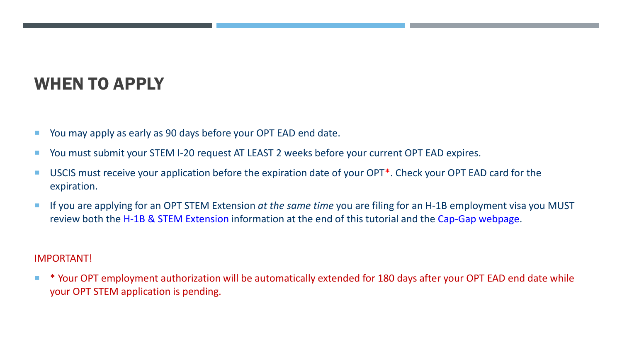# WHEN TO APPLY

- **The State Manush 20 You may apply as early as 90 days before your OPT EAD end date.**
- You must submit your STEM I-20 request AT LEAST 2 weeks before your current OPT EAD expires.
- USCIS must receive your application before the expiration date of your OPT<sup>\*</sup>. Check your OPT EAD card for the expiration.
- If you are applying for an OPT STEM Extension *at the same time* you are filing for an H-1B employment visa you MUST review both the H-1B & STEM Extension information at the end of this tutorial and the Cap-Gap webpage.

#### IMPORTANT!

 \* Your OPT employment authorization will be automatically extended for 180 days after your OPT EAD end date while your OPT STEM application is pending.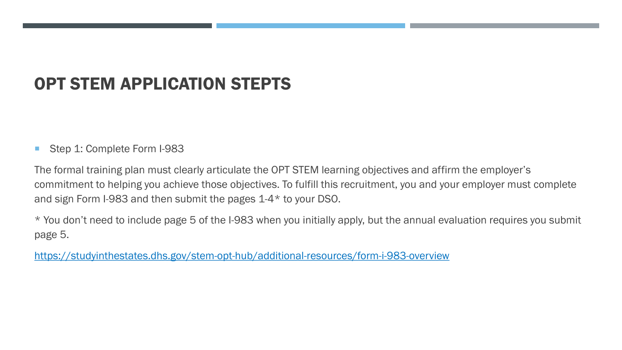## OPT STEM APPLICATION STEPTS

#### Step 1: Complete Form I-983

The formal training plan must clearly articulate the OPT STEM learning objectives and affirm the employer's commitment to helping you achieve those objectives. To fulfill this recruitment, you and your employer must complete and sign Form I-983 and then submit the pages 1-4\* to your DSO.

\* You don't need to include page 5 of the I-983 when you initially apply, but the annual evaluation requires you submit page 5.

<https://studyinthestates.dhs.gov/stem-opt-hub/additional-resources/form-i-983-overview>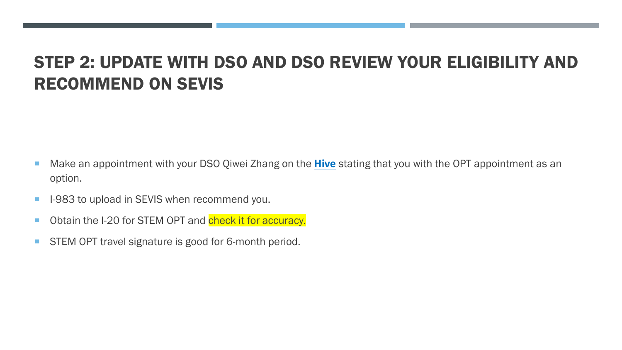#### STEP 2: UPDATE WITH DSO AND DSO REVIEW YOUR ELIGIBILITY AND RECOMMEND ON SEVIS

- Make an appointment with your DSO Qiwei Zhang on the **[Hive](https://csbsju.starfishsolutions.com/starfish-ops/dl/instructor/serviceCatalog.html?bookmark=connection/17657/schedule)** stating that you with the OPT appointment as an option.
- **I-983 to upload in SEVIS when recommend you.**
- Obtain the I-20 for STEM OPT and check it for accuracy.
- **STEM OPT travel signature is good for 6-month period.**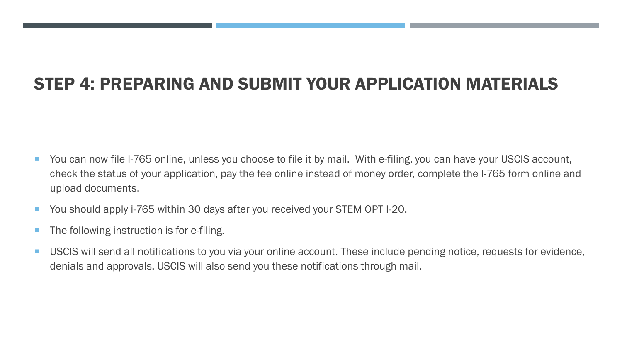## STEP 4: PREPARING AND SUBMIT YOUR APPLICATION MATERIALS

- You can now file I-765 online, unless you choose to file it by mail. With e-filing, you can have your USCIS account, check the status of your application, pay the fee online instead of money order, complete the I-765 form online and upload documents.
- You should apply i-765 within 30 days after you received your STEM OPT I-20.
- **The following instruction is for e-filing.**
- USCIS will send all notifications to you via your online account. These include pending notice, requests for evidence, denials and approvals. USCIS will also send you these notifications through mail.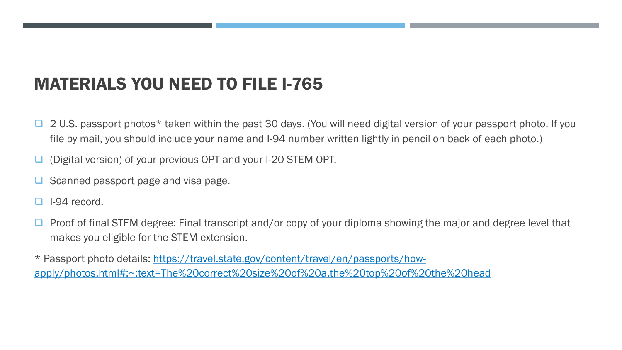#### MATERIALS YOU NEED TO FILE I-765

- 2 U.S. passport photos\* taken within the past 30 days. (You will need digital version of your passport photo. If you file by mail, you should include your name and I-94 number written lightly in pencil on back of each photo.)
- (Digital version) of your previous OPT and your I-20 STEM OPT.
- Scanned passport page and visa page.
- I-94 record.
- Proof of final STEM degree: Final transcript and/or copy of your diploma showing the major and degree level that makes you eligible for the STEM extension.

\* Passport photo details: https://travel.state.gov/content/travel/en/passports/how[apply/photos.html#:~:text=The%20correct%20size%20of%20a,the%20top%20of%20the%20head](https://travel.state.gov/content/travel/en/passports/how-apply/photos.html#:%7E:text=The%20correct%20size%20of%20a,the%20top%20of%20the%20head)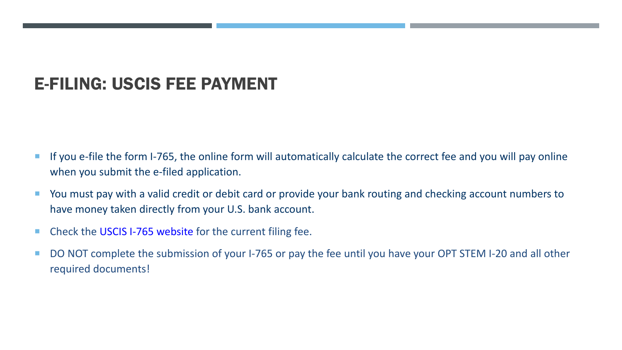#### E-FILING: USCIS FEE PAYMENT

- **If you e-file the form I-765, the online form will automatically calculate the correct fee and you will pay online** when you submit the e-filed application.
- **Dama The Vou must pay with a valid credit or debit card or provide your bank routing and checking account numbers to** have money taken directly from your U.S. bank account.
- Check the USCIS I-765 website for the current filing fee.
- DO NOT complete the submission of your I-765 or pay the fee until you have your OPT STEM I-20 and all other required documents!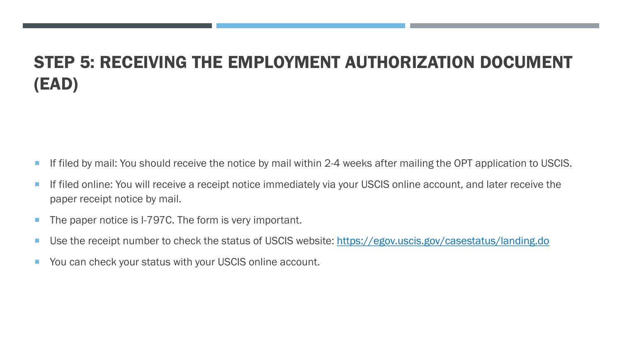# STEP 5: RECEIVING THE EMPLOYMENT AUTHORIZATION DOCUMENT (EAD)

- **If filed by mail: You should receive the notice by mail within 2-4 weeks after mailing the OPT application to USCIS.**
- **If filed online: You will receive a receipt notice immediately via your USCIS online account, and later receive the** paper receipt notice by mail.
- The paper notice is I-797C. The form is very important.
- Use the receipt number to check the status of USCIS website:<https://egov.uscis.gov/casestatus/landing.do>
- You can check your status with your USCIS online account.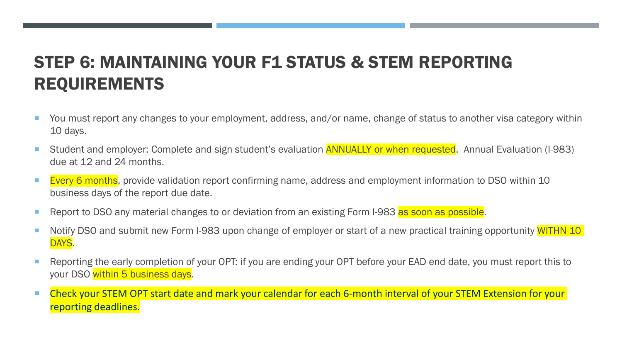# STEP 6: MAINTAINING YOUR F1 STATUS & STEM REPORTING REQUIREMENTS

- You must report any changes to your employment, address, and/or name, change of status to another visa category within 10 days.
- Student and employer: Complete and sign student's evaluation **ANNUALLY or when requested**. Annual Evaluation (I-983) due at 12 and 24 months.
- **Every 6 months**, provide validation report confirming name, address and employment information to DSO within 10 business days of the report due date.
- Report to DSO any material changes to or deviation from an existing Form I-983 as soon as possible.
- Notify DSO and submit new Form I-983 upon change of employer or start of a new practical training opportunity WITHN 10 DAYS.
- Reporting the early completion of your OPT: if you are ending your OPT before your EAD end date, you must report this to your DSO within 5 business days.
- Check your STEM OPT start date and mark your calendar for each 6-month interval of your STEM Extension for your reporting deadlines.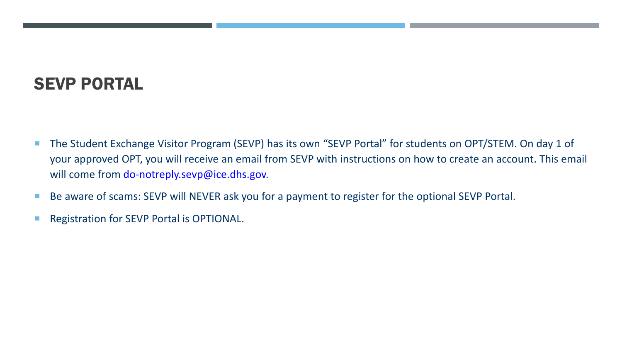# SEVP PORTAL

- The Student Exchange Visitor Program (SEVP) has its own "SEVP Portal" for students on OPT/STEM. On day 1 of your approved OPT, you will receive an email from SEVP with instructions on how to create an account. This email will come from do-notreply.sevp@ice.dhs.gov.
- Be aware of scams: SEVP will NEVER ask you for a payment to register for the optional SEVP Portal.
- **Registration for SEVP Portal is OPTIONAL.**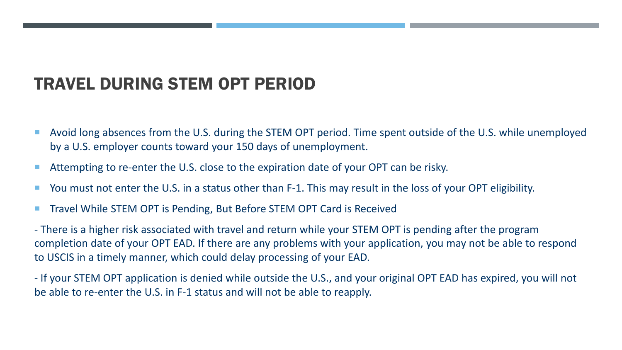## TRAVEL DURING STEM OPT PERIOD

- Avoid long absences from the U.S. during the STEM OPT period. Time spent outside of the U.S. while unemployed by a U.S. employer counts toward your 150 days of unemployment.
- Attempting to re-enter the U.S. close to the expiration date of your OPT can be risky.
- You must not enter the U.S. in a status other than F-1. This may result in the loss of your OPT eligibility.
- Travel While STEM OPT is Pending, But Before STEM OPT Card is Received

- There is a higher risk associated with travel and return while your STEM OPT is pending after the program completion date of your OPT EAD. If there are any problems with your application, you may not be able to respond to USCIS in a timely manner, which could delay processing of your EAD.

- If your STEM OPT application is denied while outside the U.S., and your original OPT EAD has expired, you will not be able to re-enter the U.S. in F-1 status and will not be able to reapply.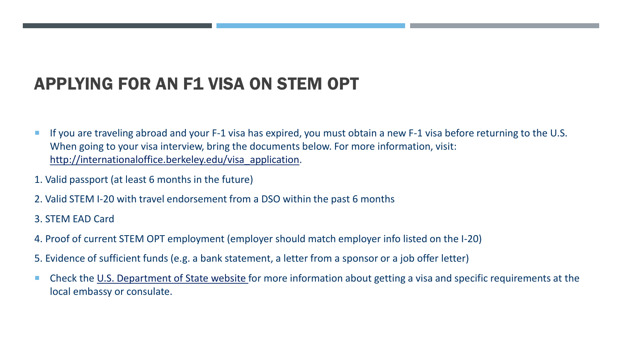# APPLYING FOR AN F1 VISA ON STEM OPT

- If you are traveling abroad and your F-1 visa has expired, you must obtain a new F-1 visa before returning to the U.S. When going to your visa interview, bring the documents below. For more information, visit: [http://internationaloffice.berkeley.edu/visa\\_application](http://internationaloffice.berkeley.edu/visa_application).
- 1. Valid passport (at least 6 months in the future)
- 2. Valid STEM I-20 with travel endorsement from a DSO within the past 6 months
- 3. STEM EAD Card
- 4. Proof of current STEM OPT employment (employer should match employer info listed on the I-20)
- 5. Evidence of sufficient funds (e.g. a bank statement, a letter from a sponsor or a job offer letter)
- Check the [U.S. Department of State website](https://travel.state.gov/content/travel.html) for more information about getting a visa and specific requirements at the local embassy or consulate.